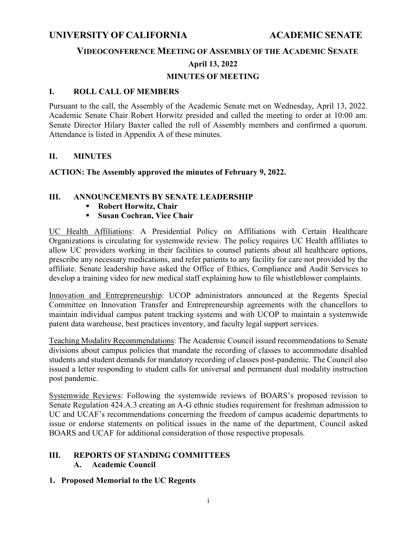# **UNIVERSITY OF CALIFORNIA ACADEMIC SENATE**

## **VIDEOCONFERENCE MEETING OF ASSEMBLY OF THE ACADEMIC SENATE**

### **April 13, 2022**

# **MINUTES OF MEETING**

### **I. ROLL CALL OF MEMBERS**

Pursuant to the call, the Assembly of the Academic Senate met on Wednesday, April 13, 2022. Academic Senate Chair Robert Horwitz presided and called the meeting to order at 10:00 am. Senate Director Hilary Baxter called the roll of Assembly members and confirmed a quorum. Attendance is listed in Appendix A of these minutes.

## **II. MINUTES**

## **ACTION: The Assembly approved the minutes of February 9, 2022.**

## **III. ANNOUNCEMENTS BY SENATE LEADERSHIP**

- **Robert Horwitz, Chair**
- **Susan Cochran, Vice Chair**

UC Health Affiliations: A Presidential Policy on Affiliations with Certain Healthcare Organizations is circulating for systemwide review. The policy requires UC Health affiliates to allow UC providers working in their facilities to counsel patients about all healthcare options, prescribe any necessary medications, and refer patients to any facility for care not provided by the affiliate. Senate leadership have asked the Office of Ethics, Compliance and Audit Services to develop a training video for new medical staff explaining how to file whistleblower complaints.

Innovation and Entrepreneurship: UCOP administrators announced at the Regents Special Committee on Innovation Transfer and Entrepreneurship agreements with the chancellors to maintain individual campus patent tracking systems and with UCOP to maintain a systemwide patent data warehouse, best practices inventory, and faculty legal support services.

Teaching Modality Recommendations: The Academic Council issued recommendations to Senate divisions about campus policies that mandate the recording of classes to accommodate disabled students and student demands for mandatory recording of classes post-pandemic. The Council also issued a letter responding to student calls for universal and permanent dual modality instruction post pandemic.

Systemwide Reviews: Following the systemwide reviews of BOARS's proposed revision to Senate Regulation 424.A.3 creating an A-G ethnic studies requirement for freshman admission to UC and UCAF's recommendations concerning the freedom of campus academic departments to issue or endorse statements on political issues in the name of the department, Council asked BOARS and UCAF for additional consideration of those respective proposals.

#### **III. REPORTS OF STANDING COMMITTEES A. Academic Council**

**1. Proposed Memorial to the UC Regents**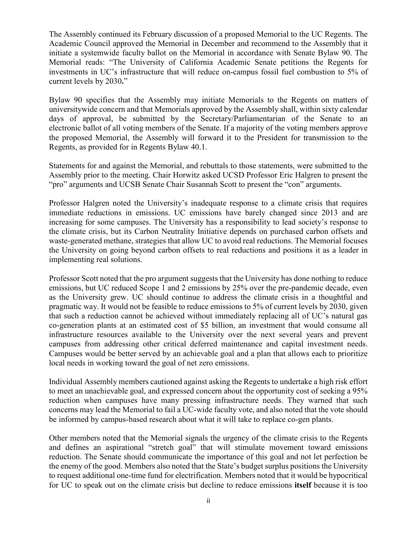The Assembly continued its February discussion of a proposed Memorial to the UC Regents. The Academic Council approved the Memorial in December and recommend to the Assembly that it initiate a systemwide faculty ballot on the Memorial in accordance with Senate Bylaw 90. The Memorial reads: "The University of California Academic Senate petitions the Regents for investments in UC's infrastructure that will reduce on-campus fossil fuel combustion to 5% of current levels by 2030**.**"

Bylaw 90 specifies that the Assembly may initiate Memorials to the Regents on matters of universitywide concern and that Memorials approved by the Assembly shall, within sixty calendar days of approval, be submitted by the Secretary/Parliamentarian of the Senate to an electronic ballot of all voting members of the Senate. If a majority of the voting members approve the proposed Memorial, the Assembly will forward it to the President for transmission to the Regents, as provided for in Regents Bylaw 40.1.

Statements for and against the Memorial, and rebuttals to those statements, were submitted to the Assembly prior to the meeting. Chair Horwitz asked UCSD Professor Eric Halgren to present the "pro" arguments and UCSB Senate Chair Susannah Scott to present the "con" arguments.

Professor Halgren noted the University's inadequate response to a climate crisis that requires immediate reductions in emissions. UC emissions have barely changed since 2013 and are increasing for some campuses. The University has a responsibility to lead society's response to the climate crisis, but its Carbon Neutrality Initiative depends on purchased carbon offsets and waste-generated methane, strategies that allow UC to avoid real reductions. The Memorial focuses the University on going beyond carbon offsets to real reductions and positions it as a leader in implementing real solutions.

Professor Scott noted that the pro argument suggests that the University has done nothing to reduce emissions, but UC reduced Scope 1 and 2 emissions by 25% over the pre-pandemic decade, even as the University grew. UC should continue to address the climate crisis in a thoughtful and pragmatic way. It would not be feasible to reduce emissions to 5% of current levels by 2030, given that such a reduction cannot be achieved without immediately replacing all of UC's natural gas co-generation plants at an estimated cost of \$5 billion, an investment that would consume all infrastructure resources available to the University over the next several years and prevent campuses from addressing other critical deferred maintenance and capital investment needs. Campuses would be better served by an achievable goal and a plan that allows each to prioritize local needs in working toward the goal of net zero emissions.

Individual Assembly members cautioned against asking the Regents to undertake a high risk effort to meet an unachievable goal, and expressed concern about the opportunity cost of seeking a 95% reduction when campuses have many pressing infrastructure needs. They warned that such concerns may lead the Memorial to fail a UC-wide faculty vote, and also noted that the vote should be informed by campus-based research about what it will take to replace co-gen plants.

Other members noted that the Memorial signals the urgency of the climate crisis to the Regents and defines an aspirational "stretch goal" that will stimulate movement toward emissions reduction. The Senate should communicate the importance of this goal and not let perfection be the enemy of the good. Members also noted that the State's budget surplus positions the University to request additional one-time fund for electrification. Members noted that it would be hypocritical for UC to speak out on the climate crisis but decline to reduce emissions **itself** because it is too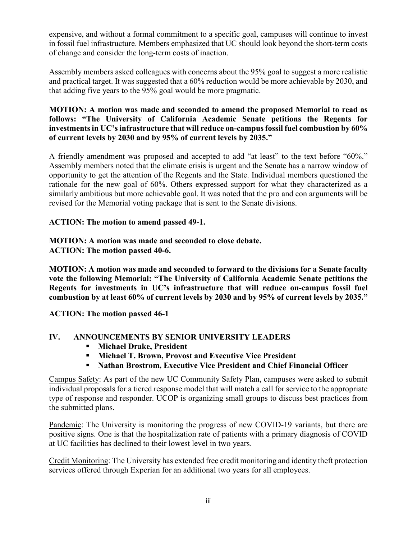expensive, and without a formal commitment to a specific goal, campuses will continue to invest in fossil fuel infrastructure. Members emphasized that UC should look beyond the short-term costs of change and consider the long-term costs of inaction.

Assembly members asked colleagues with concerns about the 95% goal to suggest a more realistic and practical target. It was suggested that a 60% reduction would be more achievable by 2030, and that adding five years to the 95% goal would be more pragmatic.

**MOTION: A motion was made and seconded to amend the proposed Memorial to read as follows: "The University of California Academic Senate petitions the Regents for investments in UC's infrastructure that will reduce on-campus fossil fuel combustion by 60% of current levels by 2030 and by 95% of current levels by 2035."** 

A friendly amendment was proposed and accepted to add "at least" to the text before "60%." Assembly members noted that the climate crisis is urgent and the Senate has a narrow window of opportunity to get the attention of the Regents and the State. Individual members questioned the rationale for the new goal of 60%. Others expressed support for what they characterized as a similarly ambitious but more achievable goal. It was noted that the pro and con arguments will be revised for the Memorial voting package that is sent to the Senate divisions.

**ACTION: The motion to amend passed 49-1.** 

#### **MOTION: A motion was made and seconded to close debate. ACTION: The motion passed 40-6.**

**MOTION: A motion was made and seconded to forward to the divisions for a Senate faculty vote the following Memorial: "The University of California Academic Senate petitions the Regents for investments in UC's infrastructure that will reduce on-campus fossil fuel combustion by at least 60% of current levels by 2030 and by 95% of current levels by 2035."**

**ACTION: The motion passed 46-1** 

## **IV. ANNOUNCEMENTS BY SENIOR UNIVERSITY LEADERS**

- **Michael Drake, President**
- **Michael T. Brown, Provost and Executive Vice President**
- **Nathan Brostrom, Executive Vice President and Chief Financial Officer**

Campus Safety: As part of the new UC Community Safety Plan, campuses were asked to submit individual proposals for a tiered response model that will match a call for service to the appropriate type of response and responder. UCOP is organizing small groups to discuss best practices from the submitted plans.

Pandemic: The University is monitoring the progress of new COVID-19 variants, but there are positive signs. One is that the hospitalization rate of patients with a primary diagnosis of COVID at UC facilities has declined to their lowest level in two years.

Credit Monitoring: The University has extended free credit monitoring and identity theft protection services offered through Experian for an additional two years for all employees.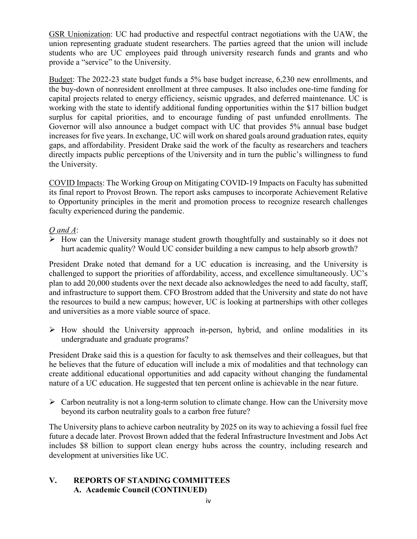GSR Unionization: UC had productive and respectful contract negotiations with the UAW, the union representing graduate student researchers. The parties agreed that the union will include students who are UC employees paid through university research funds and grants and who provide a "service" to the University.

Budget: The 2022-23 state budget funds a 5% base budget increase, 6,230 new enrollments, and the buy-down of nonresident enrollment at three campuses. It also includes one-time funding for capital projects related to energy efficiency, seismic upgrades, and deferred maintenance. UC is working with the state to identify additional funding opportunities within the \$17 billion budget surplus for capital priorities, and to encourage funding of past unfunded enrollments. The Governor will also announce a budget compact with UC that provides 5% annual base budget increases for five years. In exchange, UC will work on shared goals around graduation rates, equity gaps, and affordability. President Drake said the work of the faculty as researchers and teachers directly impacts public perceptions of the University and in turn the public's willingness to fund the University.

COVID Impacts: The Working Group on Mitigating COVID-19 Impacts on Faculty has submitted its final report to Provost Brown. The report asks campuses to incorporate Achievement Relative to Opportunity principles in the merit and promotion process to recognize research challenges faculty experienced during the pandemic.

## *Q and A*:

 $\triangleright$  How can the University manage student growth thoughtfully and sustainably so it does not hurt academic quality? Would UC consider building a new campus to help absorb growth?

President Drake noted that demand for a UC education is increasing, and the University is challenged to support the priorities of affordability, access, and excellence simultaneously. UC's plan to add 20,000 students over the next decade also acknowledges the need to add faculty, staff, and infrastructure to support them. CFO Brostrom added that the University and state do not have the resources to build a new campus; however, UC is looking at partnerships with other colleges and universities as a more viable source of space.

 $\triangleright$  How should the University approach in-person, hybrid, and online modalities in its undergraduate and graduate programs?

President Drake said this is a question for faculty to ask themselves and their colleagues, but that he believes that the future of education will include a mix of modalities and that technology can create additional educational opportunities and add capacity without changing the fundamental nature of a UC education. He suggested that ten percent online is achievable in the near future.

 $\triangleright$  Carbon neutrality is not a long-term solution to climate change. How can the University move beyond its carbon neutrality goals to a carbon free future?

The University plans to achieve carbon neutrality by 2025 on its way to achieving a fossil fuel free future a decade later. Provost Brown added that the federal Infrastructure Investment and Jobs Act includes \$8 billion to support clean energy hubs across the country, including research and development at universities like UC.

## **V. REPORTS OF STANDING COMMITTEES A. Academic Council (CONTINUED)**